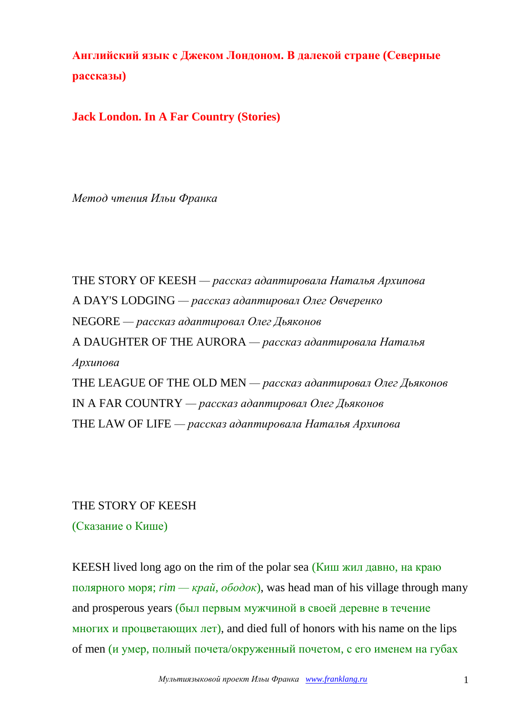**Английский язык с Джеком Лондоном. В далекой стране (Северные рассказы)**

**Jack London. In A Far Country (Stories)**

*Метод чтения Ильи Франка*

THE STORY OF KEESH *— рассказ адаптировала Наталья Архипова* A DAY'S LODGING *— рассказ адаптировал Олег Овчеренко* NEGORE *— рассказ адаптировал Олег Дьяконов* A DAUGHTER OF THE AURORA *— рассказ адаптировала Наталья Архипова* THE LEAGUE OF THE OLD MEN *— рассказ адаптировал Олег Дьяконов* IN A FAR COUNTRY *— рассказ адаптировал Олег Дьяконов* THE LAW OF LIFE *— рассказ адаптировала Наталья Архипова*

#### THE STORY OF KEESH

(Сказание о Кише)

KEESH lived long ago on the rim of the polar sea (Киш жил давно, на краю полярного моря; *rim — край, ободок*), was head man of his village through many and prosperous years (был первым мужчиной в своей деревне в течение многих и процветающих лет), and died full of honors with his name on the lips of men (и умер, полный почета/окруженный почетом, с его именем на губах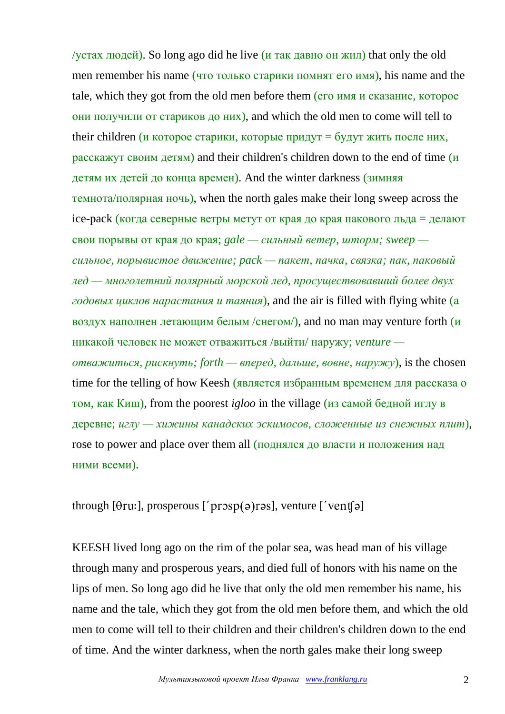/устах людей). So long ago did he live (и так давно он жил) that only the old men remember his name (что только старики помнят его имя), his name and the tale, which they got from the old men before them (его имя и сказание, которое они получили от стариков до них), and which the old men to come will tell to their children (и которое старики, которые придут = будут жить после них, расскажут своим детям) and their children's children down to the end of time (и детям их детей до конца времен). And the winter darkness (зимняя темнота/полярная ночь), when the north gales make their long sweep across the ice-pack (когда северные ветры метут от края до края пакового льда = делают свои порывы от края до края; *gale — сильный ветер, шторм; sweep сильное, порывистое движение; pack — пакет, пачка, связка; пак, паковый лед — многолетний полярный морской лед, просуществовавший более двух годовых циклов нарастания и таяния*), and the air is filled with flying white (а воздух наполнен летающим белым /снегом/), and no man may venture forth  $(u)$ никакой человек не может отважиться /выйти/ наружу; *venture отважиться, рискнуть; forth — вперед, дальше, вовне, наружу*), is the chosen time for the telling of how Keesh (является избранным временем для рассказа о том, как Киш), from the poorest *igloo* in the village (из самой бедной иглу в деревне; *иглу — хижины канадских эскимосов, сложенные из снежных плит*), rose to power and place over them all (поднялся до власти и положения над ними всеми).

through  $[0ru:]$ , prosperous  $[$ ' prosp $(a)$ rəs $]$ , venture  $[$ ' vent $[a]$ 

KEESH lived long ago on the rim of the polar sea, was head man of his village through many and prosperous years, and died full of honors with his name on the lips of men. So long ago did he live that only the old men remember his name, his name and the tale, which they got from the old men before them, and which the old men to come will tell to their children and their children's children down to the end of time. And the winter darkness, when the north gales make their long sweep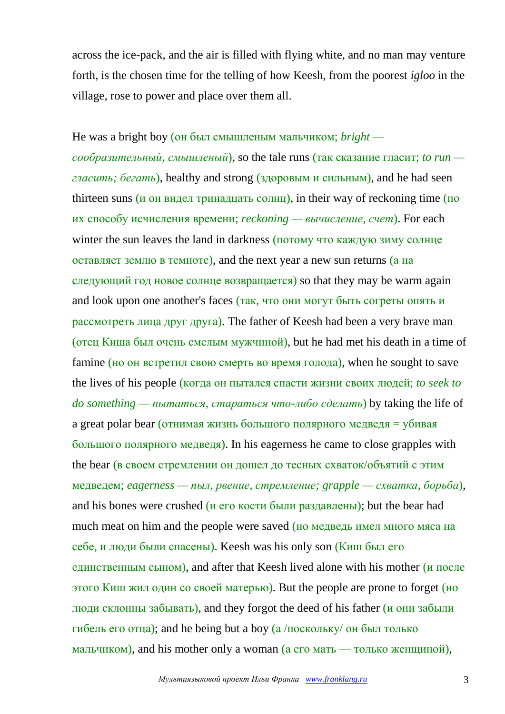across the ice-pack, and the air is filled with flying white, and no man may venture forth, is the chosen time for the telling of how Keesh, from the poorest *igloo* in the village, rose to power and place over them all.

He was a bright boy (он был смышленым мальчиком; *bright сообразительный, смышленый*), so the tale runs (так сказание гласит; *to run гласить; бегать*), healthy and strong (здоровым и сильным), and he had seen thirteen suns (и он видел тринадцать солнц), in their way of reckoning time (по их способу исчисления времени; *reckoning — вычисление, счет*). For each winter the sun leaves the land in darkness (потому что каждую зиму солнце оставляет землю в темноте), and the next year a new sun returns (а на следующий год новое солнце возвращается) so that they may be warm again and look upon one another's faces (так, что они могут быть согреты опять и рассмотреть лица друг друга). The father of Keesh had been a very brave man (отец Киша был очень смелым мужчиной), but he had met his death in a time of famine (но он встретил свою смерть во время голода), when he sought to save the lives of his people (когда он пытался спасти жизни своих людей; *to seek to do something — пытаться, стараться что-либо сделать*) by taking the life of a great polar bear (отнимая жизнь большого полярного медведя = убивая большого полярного медведя). In his eagerness he came to close grapples with the bear (в своем стремлении он дошел до тесных схваток/объятий с этим медведем; *eagerness — пыл, рвение, стремление; grapple — схватка, борьба*), and his bones were crushed (и его кости были раздавлены); but the bear had much meat on him and the people were saved (но медведь имел много мяса на себе, и люди были спасены). Keesh was his only son (Киш был его единственным сыном), and after that Keesh lived alone with his mother (и после этого Киш жил один со своей матерью). But the people are prone to forget (но люди склонны забывать), and they forgot the deed of his father (и они забыли гибель его отца); and he being but a boy  $(a/noc \kappa)$  он был только мальчиком), and his mother only a woman (а его мать — только женщиной),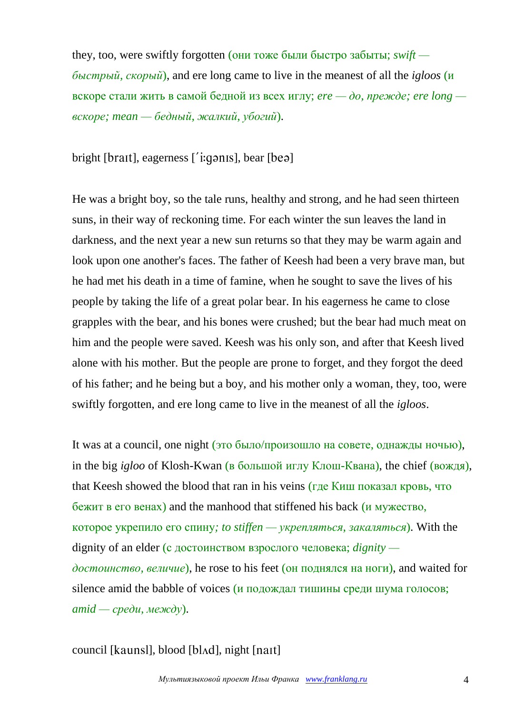they, too, were swiftly forgotten (они тоже были быстро забыты; *swift быстрый, скорый*), and ere long came to live in the meanest of all the *igloos* (и вскоре стали жить в самой бедной из всех иглу; *ere — до, прежде; ere long вскоре; mean — бедный, жалкий, убогий*).

bright [ $\frac{b \cdot b}{c}$ ], eagerness [' $\frac{c}{c}$ ], bear [ $\frac{b \cdot c}{c}$ ]

He was a bright boy, so the tale runs, healthy and strong, and he had seen thirteen suns, in their way of reckoning time. For each winter the sun leaves the land in darkness, and the next year a new sun returns so that they may be warm again and look upon one another's faces. The father of Keesh had been a very brave man, but he had met his death in a time of famine, when he sought to save the lives of his people by taking the life of a great polar bear. In his eagerness he came to close grapples with the bear, and his bones were crushed; but the bear had much meat on him and the people were saved. Keesh was his only son, and after that Keesh lived alone with his mother. But the people are prone to forget, and they forgot the deed of his father; and he being but a boy, and his mother only a woman, they, too, were swiftly forgotten, and ere long came to live in the meanest of all the *igloos*.

It was at a council, one night (это было/произошло на совете, однажды ночью), in the big *igloo* of Klosh-Kwan (в большой иглу Клош-Квана), the chief (вождя), that Keesh showed the blood that ran in his veins (где Киш показал кровь, что бежит в его венах) and the manhood that stiffened his back (и мужество, которое укрепило его спину*; to stiffen — укрепляться, закаляться*). With the dignity of an elder (с достоинством взрослого человека; *dignity достоинство, величие*), he rose to his feet (он поднялся на ноги), and waited for silence amid the babble of voices (и подождал тишины среди шума голосов; *amid — среди, между*).

council [kaunsl], blood [bl^d], night [naɪt]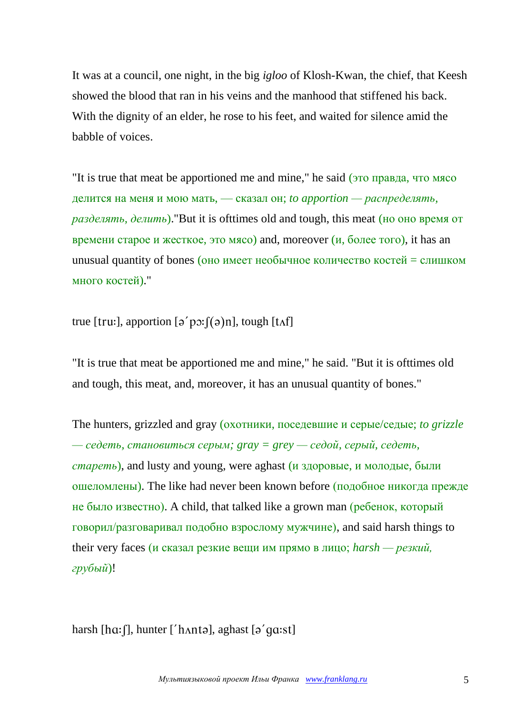It was at a council, one night, in the big *igloo* of Klosh-Kwan, the chief, that Keesh showed the blood that ran in his veins and the manhood that stiffened his back. With the dignity of an elder, he rose to his feet, and waited for silence amid the babble of voices.

"It is true that meat be apportioned me and mine," he said (это правда, что мясо делится на меня и мою мать, — сказал он; *to apportion — распределять, разделять, делить*)."But it is ofttimes old and tough, this meat (но оно время от времени старое и жесткое, это мясо) and, moreover  $(u, 60$ лее того), it has an unusual quantity of bones (оно имеет необычное количество костей = слишком много костей)."

true [tru:], apportion  $\lceil \varphi'$  p $\varphi$ : $\lceil (\varphi)$ n], tough [t $\Lambda f$ ]

"It is true that meat be apportioned me and mine," he said. "But it is ofttimes old and tough, this meat, and, moreover, it has an unusual quantity of bones."

The hunters, grizzled and gray (охотники, поседевшие и серые/седые; *to grizzle — седеть, становиться серым; gray = grey — седой, серый, седеть, стареть*), and lusty and young, were aghast (и здоровые, и молодые, были ошеломлены). The like had never been known before (подобное никогда прежде не было известно). A child, that talked like a grown man (ребенок, который говорил/разговаривал подобно взрослому мужчине), and said harsh things to their very faces (и сказал резкие вещи им прямо в лицо; *harsh — резкий, грубый*)!

harsh  $[ha:$ f], hunter ['h $A$ ntə], aghast  $[a'ga:$ st]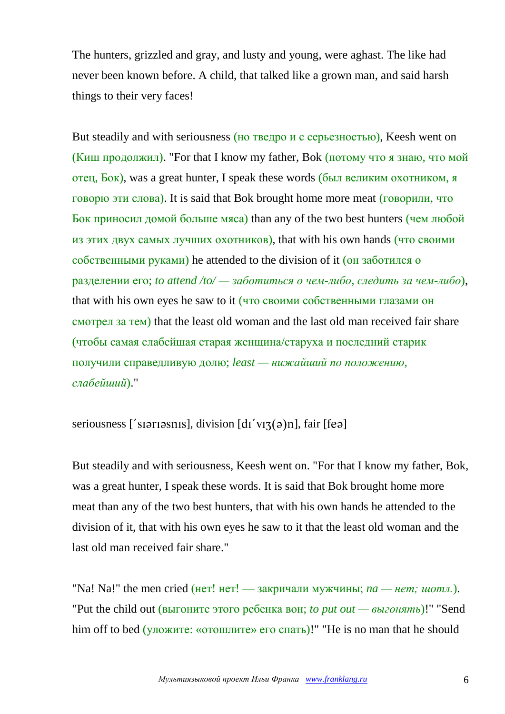The hunters, grizzled and gray, and lusty and young, were aghast. The like had never been known before. A child, that talked like a grown man, and said harsh things to their very faces!

But steadily and with seriousness (но тведро и с серьезностью), Keesh went on (Киш продолжил). "For that I know my father, Bok (потому что я знаю, что мой отец, Бок), was a great hunter, I speak these words (был великим охотником, я говорю эти слова). It is said that Bok brought home more meat (говорили, что Бок приносил домой больше мяса) than any of the two best hunters (чем любой из этих двух самых лучших охотников), that with his own hands (что своими собственными руками) he attended to the division of it (он заботился о разделении его; *to attend /to/ — заботиться о чем-либо, следить за чем-либо*), that with his own eyes he saw to it (что своими собственными глазами он смотрел за тем) that the least old woman and the last old man received fair share (чтобы самая слабейшая старая женщина/старуха и последний старик получили справедливую долю; *least — нижайший по положению, слабейший*)."

seriousness ['siariasnis], division  $\left[ \frac{d}{v} \right]$  (a)n], fair  $\left[ \text{fea} \right]$ 

But steadily and with seriousness, Keesh went on. "For that I know my father, Bok, was a great hunter, I speak these words. It is said that Bok brought home more meat than any of the two best hunters, that with his own hands he attended to the division of it, that with his own eyes he saw to it that the least old woman and the last old man received fair share."

"Na! Na!" the men cried (нет! нет! — закричали мужчины; *na — нет; шотл.*). "Put the child out (выгоните этого ребенка вон; *to put out — выгонять*)!" "Send him off to bed (уложите: «отошлите» его спать)!" "He is no man that he should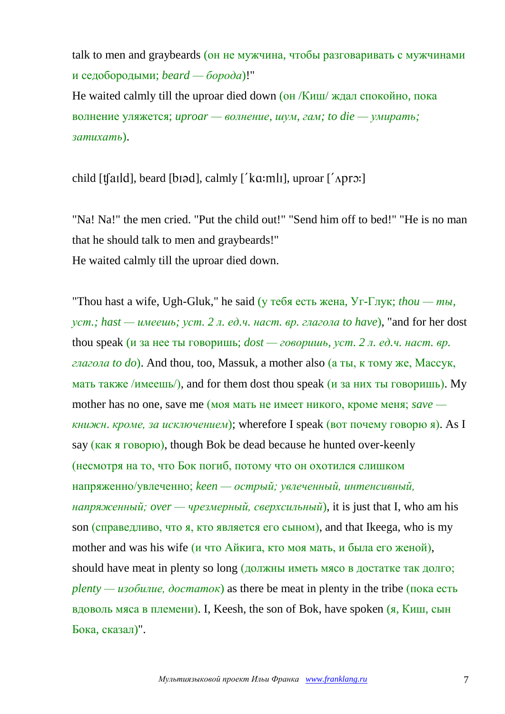talk to men and graybeards (он не мужчина, чтобы разговаривать с мужчинами и седобородыми; *beard — борода*)!"

He waited calmly till the uproar died down (он /Киш/ ждал спокойно, пока волнение уляжется; *uproar — волнение, шум, гам; to die — умирать; затихать*).

child  $[t[$ ald], beard  $[b$ iəd], calmly  $[k]$  a:mli], uproar  $[k]$  aproxi

"Na! Na!" the men cried. "Put the child out!" "Send him off to bed!" "He is no man that he should talk to men and graybeards!" He waited calmly till the uproar died down.

"Thou hast a wife, Ugh-Gluk," he said (у тебя есть жена, Уг-Глук; *thou — ты, уст.; hast — имеешь; уст. 2 л. ед.ч. наст. вр. глагола to have*), "and for her dost thou speak (и за нее ты говоришь; *dost — говоришь, уст. 2 л. ед.ч. наст. вр. глагола to do*). And thou, too, Massuk, a mother also (а ты, к тому же, Массук, мать также /имеешь/), and for them dost thou speak (и за них ты говоришь). Му mother has no one, save me (моя мать не имеет никого, кроме меня; *save книжн*. *кроме, за исключением*); wherefore I speak (вот почему говорю я). As I say (как я говорю), though Bok be dead because he hunted over-keenly (несмотря на то, что Бок погиб, потому что он охотился слишком напряженно/увлеченно; *keen — острый; увлеченный, интенсивный, напряженный; over — чрезмерный, сверхсильный*), it is just that I, who am his son (справедливо, что я, кто является его сыном), and that Ikeega, who is my mother and was his wife (*и* что Айкига, кто моя мать, и была его женой), should have meat in plenty so long (должны иметь мясо в достатке так долго;  $\mu$ *plenty — изобилие, достаток*) as there be meat in plenty in the tribe (пока есть вдоволь мяса в племени). I, Keesh, the son of Bok, have spoken  $(a, K)$ иш, сын Бока, сказал)".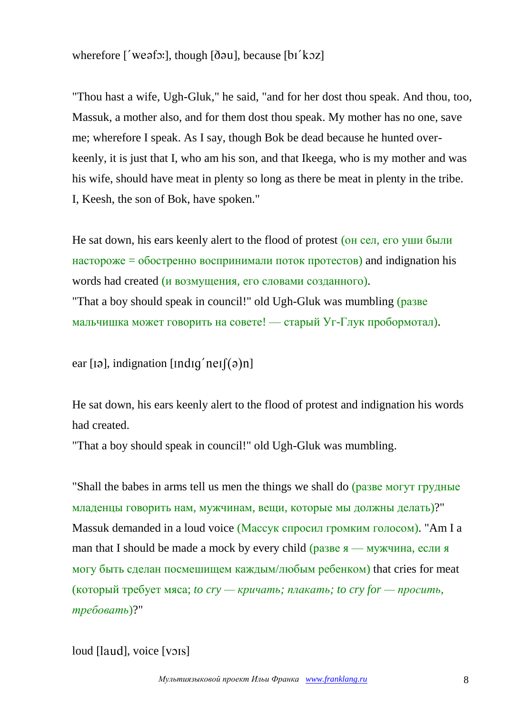wherefore  $\int'$  weafs: ], though  $\delta$  [  $\delta$  au], because  $\lceil$  bi  $\langle$  koz]

"Thou hast a wife, Ugh-Gluk," he said, "and for her dost thou speak. And thou, too, Massuk, a mother also, and for them dost thou speak. My mother has no one, save me; wherefore I speak. As I say, though Bok be dead because he hunted overkeenly, it is just that I, who am his son, and that Ikeega, who is my mother and was his wife, should have meat in plenty so long as there be meat in plenty in the tribe. I, Keesh, the son of Bok, have spoken."

He sat down, his ears keenly alert to the flood of protest (он сел, его уши были настороже = обостренно воспринимали поток протестов) and indignation his words had created (и возмущения, его словами созданного). "That a boy should speak in council!" old Ugh-Gluk was mumbling (разве мальчишка может говорить на совете! — старый Уг-Глук пробормотал).

ear [12], indignation [Indig'neI]( $\varphi$ )n]

He sat down, his ears keenly alert to the flood of protest and indignation his words had created.

"That a boy should speak in council!" old Ugh-Gluk was mumbling.

"Shall the babes in arms tell us men the things we shall do (разве могут грудные младенцы говорить нам, мужчинам, вещи, которые мы должны делать)?" Massuk demanded in a loud voice (Массук спросил громким голосом). "Am I a man that I should be made a mock by every child (разве  $\mathbf{s}$  — мужчина, если я могу быть сделан посмешищем каждым/любым ребенком) that cries for meat (который требует мяса; *to cry — кричать; плакать; to cry for — просить, требовать*)?"

```
loud [laud], voice [vois]
```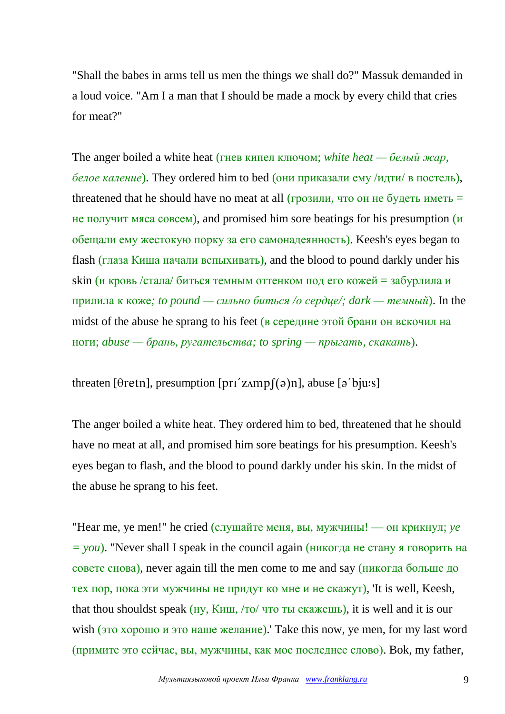"Shall the babes in arms tell us men the things we shall do?" Massuk demanded in a loud voice. "Am I a man that I should be made a mock by every child that cries for meat?"

The anger boiled a white heat (гнев кипел ключом; *white heat — белый жар, белое каление*). They ordered him to bed (они приказали ему /идти/ в постель), threatened that he should have no meat at all (грозили, что он не будеть иметь  $=$ не получит мяса совсем), and promised him sore beatings for his presumption (и обещали ему жестокую порку за его самонадеянность). Keesh's eyes began to flash (глаза Киша начали вспыхивать), and the blood to pound darkly under his skin (и кровь /стала/ биться темным оттенком под его кожей = забурлила и прилила к коже*; to pound — сильно биться /о сердце/; dark — темный*). In the midst of the abuse he sprang to his feet (в середине этой брани он вскочил на ноги; *abuse — брань, ругательства; to spring — прыгать, скакать*).

threaten [ $\theta$ retn], presumption [ $\pi$ ' $z$ Amp $\theta$ ( $\theta$ )n], abuse [ $\theta$ ' $\theta$ ju:s]

The anger boiled a white heat. They ordered him to bed, threatened that he should have no meat at all, and promised him sore beatings for his presumption. Keesh's eyes began to flash, and the blood to pound darkly under his skin. In the midst of the abuse he sprang to his feet.

"Hear me, ye men!" he cried (слушайте меня, вы, мужчины! — он крикнул; *ye = you*). "Never shall I speak in the council again (никогда не стану я говорить на совете снова), never again till the men come to me and say (никогда больше до тех пор, пока эти мужчины не придут ко мне и не скажут), 'It is well, Keesh, that thou shouldst speak (ну, Киш, /то/ что ты скажешь), it is well and it is our wish (это хорошо и это наше желание). Take this now, ye men, for my last word (примите это сейчас, вы, мужчины, как мое последнее слово). Bok, my father,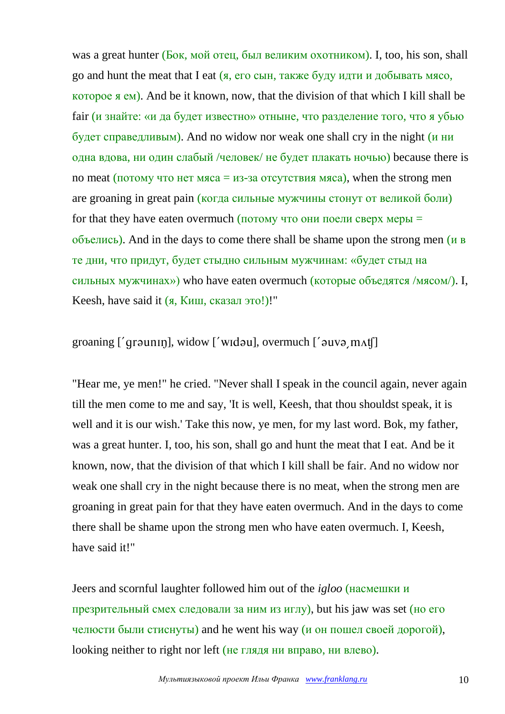was a great hunter (Бок, мой отец, был великим охотником). I, too, his son, shall go and hunt the meat that I eat  $(s, \text{ero})$  сын, также буду идти и добывать мясо, которое я ем). And be it known, now, that the division of that which I kill shall be fair (и знайте: «и да будет известно» отныне, что разделение того, что я убью будет справедливым). And no widow nor weak one shall cry in the night (и ни одна вдова, ни один слабый /человек/ не будет плакать ночью) because there is no meat (потому что нет мяса = из-за отсутствия мяса), when the strong men are groaning in great pain (когда сильные мужчины стонут от великой боли) for that they have eaten overmuch (потому что они поели сверх меры  $=$ объелись). And in the days to come there shall be shame upon the strong men (и в те дни, что придут, будет стыдно сильным мужчинам: «будет стыд на сильных мужчинах») who have eaten overmuch (которые объедятся /мясом/). I, Keesh, have said it (я, Киш, сказал это!)!"

# groaning  $[$  (qraunin), widow  $[$  widou), overmuch  $[$  auva m $\Lambda$ t $[$ ]

"Hear me, ye men!" he cried. "Never shall I speak in the council again, never again till the men come to me and say, 'It is well, Keesh, that thou shouldst speak, it is well and it is our wish.' Take this now, ye men, for my last word. Bok, my father, was a great hunter. I, too, his son, shall go and hunt the meat that I eat. And be it known, now, that the division of that which I kill shall be fair. And no widow nor weak one shall cry in the night because there is no meat, when the strong men are groaning in great pain for that they have eaten overmuch. And in the days to come there shall be shame upon the strong men who have eaten overmuch. I, Keesh, have said it!"

Jeers and scornful laughter followed him out of the *igloo* (насмешки и презрительный смех следовали за ним из иглу), but his jaw was set (но его челюсти были стиснуты) and he went his way (и он пошел своей дорогой), looking neither to right nor left (не глядя ни вправо, ни влево).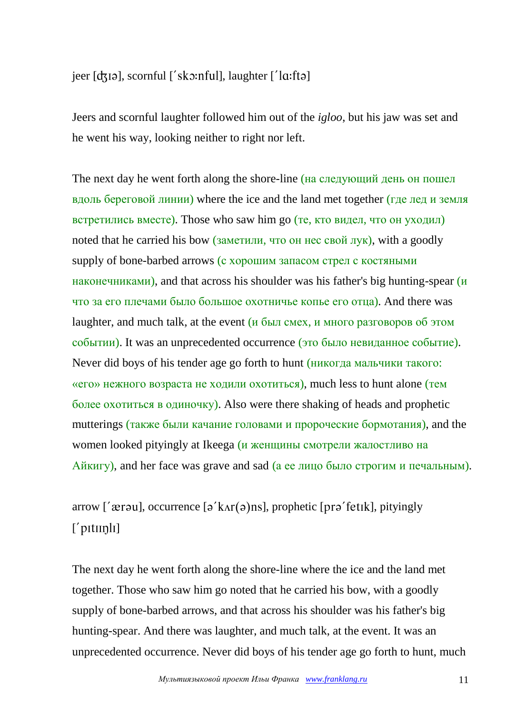## jeer  $[d \sin],$  scornful  $[$ 'sk $\sin$ ful $],$  laughter  $[$ 'l $\alpha$ :ft $\partial]$

Jeers and scornful laughter followed him out of the *igloo*, but his jaw was set and he went his way, looking neither to right nor left.

The next day he went forth along the shore-line (на следующий день он пошел вдоль береговой линии) where the ice and the land met together (где лед и земля встретились вместе). Those who saw him go (те, кто видел, что он уходил) noted that he carried his bow (заметили, что он нес свой лук), with a goodly supply of bone-barbed arrows (с хорошим запасом стрел с костяными наконечниками), and that across his shoulder was his father's big hunting-spear (и что за его плечами было большое охотничье копье его отца). And there was laughter, and much talk, at the event (и был смех, и много разговоров об этом событии). It was an unprecedented occurrence (это было невиданное событие). Never did boys of his tender age go forth to hunt (никогда мальчики такого: «его» нежного возраста не ходили охотиться), much less to hunt alone (тем более охотиться в одиночку). Also were there shaking of heads and prophetic mutterings (также были качание головами и пророческие бормотания), and the women looked pityingly at Ikeega (и женщины смотрели жалостливо на Айкигу), and her face was grave and sad (а ее лицо было строгим и печальным).

arrow [' $\alpha$ rau], occurrence  $\lceil \alpha' k \lambda r(\alpha) \rangle$ ns], prophetic [pr $\alpha'$ fetik], pityingly ['pitiinli]

The next day he went forth along the shore-line where the ice and the land met together. Those who saw him go noted that he carried his bow, with a goodly supply of bone-barbed arrows, and that across his shoulder was his father's big hunting-spear. And there was laughter, and much talk, at the event. It was an unprecedented occurrence. Never did boys of his tender age go forth to hunt, much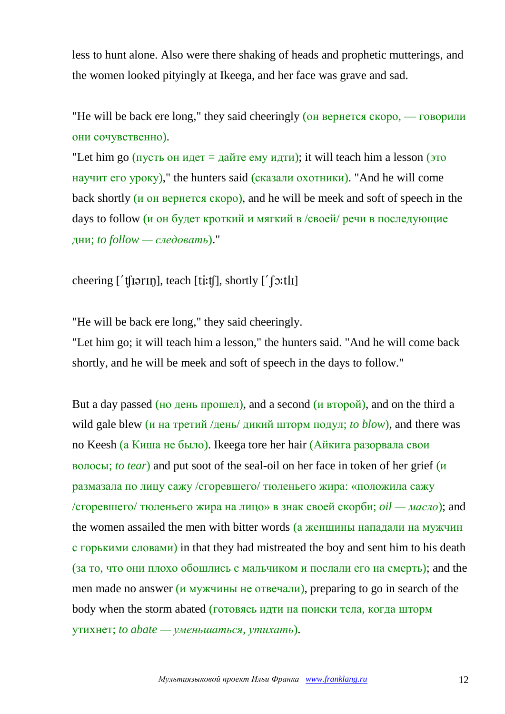less to hunt alone. Also were there shaking of heads and prophetic mutterings, and the women looked pityingly at Ikeega, and her face was grave and sad.

"He will be back ere long," they said cheeringly (он вернется скоро, — говорили они сочувственно).

"Let him go (пусть он идет = дайте ему идти); it will teach him a lesson (это научит его уроку)," the hunters said (сказали охотники). "And he will come back shortly (и он вернется скоро), and he will be meek and soft of speech in the days to follow (и он будет кроткий и мягкий в /своей/ речи в последующие дни; *to follow — следовать*)."

cheering  $[$  't $[$ ti $[$ r $\iota$ m], teach  $[$ t $\iota$ i:t $\iota$  $]$ , shortly  $[$   $\iota$   $\iota$ <sup> $\iota$ </sup>  $\iota$  $\iota$ <sup> $\iota$ </sup>

"He will be back ere long," they said cheeringly.

"Let him go; it will teach him a lesson," the hunters said. "And he will come back shortly, and he will be meek and soft of speech in the days to follow."

But a day passed (но день прошел), and a second (и второй), and on the third a wild gale blew (и на третий /день/ дикий шторм подул; *to blow*), and there was no Keesh (а Киша не было). Ikeega tore her hair (Айкига разорвала свои волосы; *to tear*) and put soot of the seal-oil on her face in token of her grief (и размазала по лицу сажу /сгоревшего/ тюленьего жира: «положила сажу /сгоревшего/ тюленьего жира на лицо» в знак своей скорби; *oil — масло*); and the women assailed the men with bitter words (а женщины нападали на мужчин с горькими словами) in that they had mistreated the boy and sent him to his death (за то, что они плохо обошлись с мальчиком и послали его на смерть); and the men made no answer (и мужчины не отвечали), preparing to go in search of the body when the storm abated (готовясь идти на поиски тела, когда шторм утихнет; *to abate — уменьшаться, утихать*).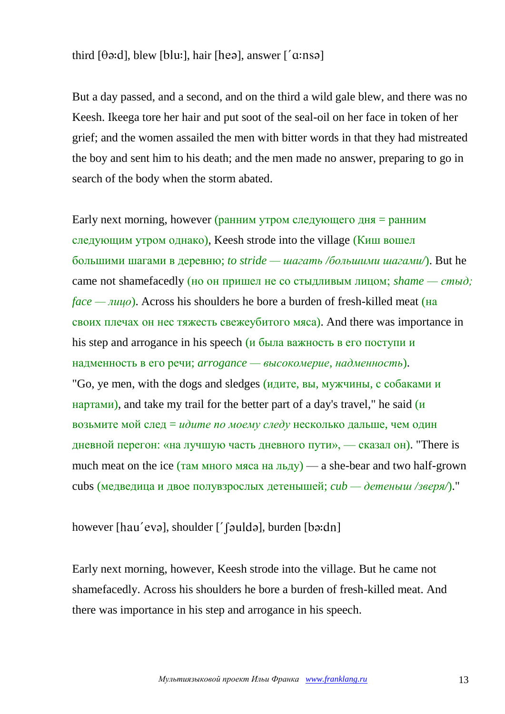## third  $[\theta \infty : d]$ , blew  $[b]$ , hair  $[he \in \theta]$ , answer  $[a \in \theta]$

But a day passed, and a second, and on the third a wild gale blew, and there was no Keesh. Ikeega tore her hair and put soot of the seal-oil on her face in token of her grief; and the women assailed the men with bitter words in that they had mistreated the boy and sent him to his death; and the men made no answer, preparing to go in search of the body when the storm abated.

Early next morning, however (ранним утром следующего дня = ранним следующим утром однако), Keesh strode into the village (Киш вошел большими шагами в деревню; *to stride — шагать /большими шагами/*). But he came not shamefacedly (но он пришел не со стыдливым лицом; *shame — стыд; face* — *лицо*). Across his shoulders he bore a burden of fresh-killed meat (на своих плечах он нес тяжесть свежеубитого мяса). And there was importance in his step and arrogance in his speech (*и* была важность в его поступи и надменность в его речи; *arrogance — высокомерие, надменность*). "Go, ye men, with the dogs and sledges (идите, вы, мужчины, с собаками и нартами), and take my trail for the better part of a day's travel," he said  $(\mu$ возьмите мой след = *идите по моему следу* несколько дальше, чем один дневной перегон: «на лучшую часть дневного пути», — сказал он). "There is much meat on the ice (там много мяса на льду) — a she-bear and two half-grown cubs (медведица и двое полувзрослых детенышей; *cub — детеныш /зверя/*)."

## however [hau'evə], shoulder  $[$ ' [ $\partial$ uldə], burden [ $\partial$ ə:dn]

Early next morning, however, Keesh strode into the village. But he came not shamefacedly. Across his shoulders he bore a burden of fresh-killed meat. And there was importance in his step and arrogance in his speech.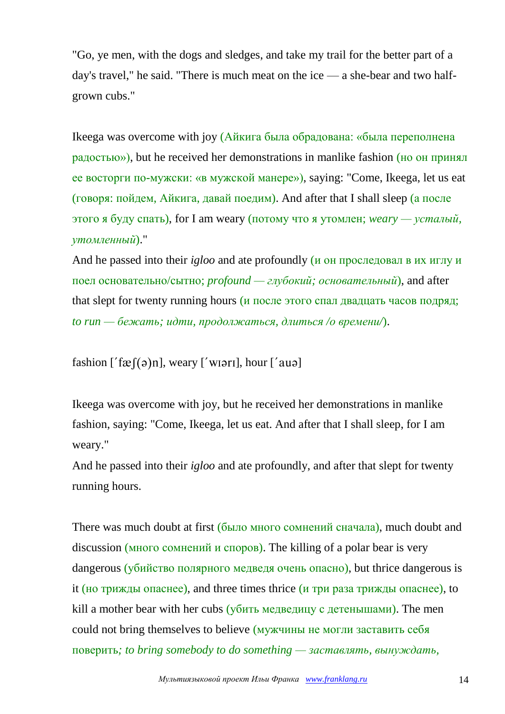"Go, ye men, with the dogs and sledges, and take my trail for the better part of a day's travel," he said. "There is much meat on the ice — a she-bear and two halfgrown cubs."

Ikeega was overcome with joy (Айкига была обрадована: «была переполнена радостью»), but he received her demonstrations in manlike fashion (но он принял ее восторги по-мужски: «в мужской манере»), saying: "Come, Ikeega, let us eat (говоря: пойдем, Айкига, давай поедим). And after that I shall sleep (а после этого я буду спать), for I am weary (потому что я утомлен; *weary — усталый, утомленный*)."

And he passed into their *igloo* and ate profoundly (и он проследовал в их иглу и поел основательно/сытно; *profound — глубокий; основательный*), and after that slept for twenty running hours ( $\mu$  после этого спал двадцать часов подряд; *to run — бежать; идти, продолжаться, длиться /о времени/*).

fashion  $[$ ' f $\mathcal{R}$  $[(\circ)$ n], weary  $[$ ' wi $\circ$ ri], hour  $[$ ' au $\circ]$ 

Ikeega was overcome with joy, but he received her demonstrations in manlike fashion, saying: "Come, Ikeega, let us eat. And after that I shall sleep, for I am weary."

And he passed into their *igloo* and ate profoundly, and after that slept for twenty running hours.

There was much doubt at first (было много сомнений сначала), much doubt and discussion (много сомнений и споров). The killing of a polar bear is very dangerous (убийство полярного медведя очень опасно), but thrice dangerous is it (но трижды опаснее), and three times thrice (и три раза трижды опаснее), to kill a mother bear with her cubs (убить медведицу с детенышами). The men could not bring themselves to believe (мужчины не могли заставить себя поверить*; to bring somebody to do something — заставлять, вынуждать,*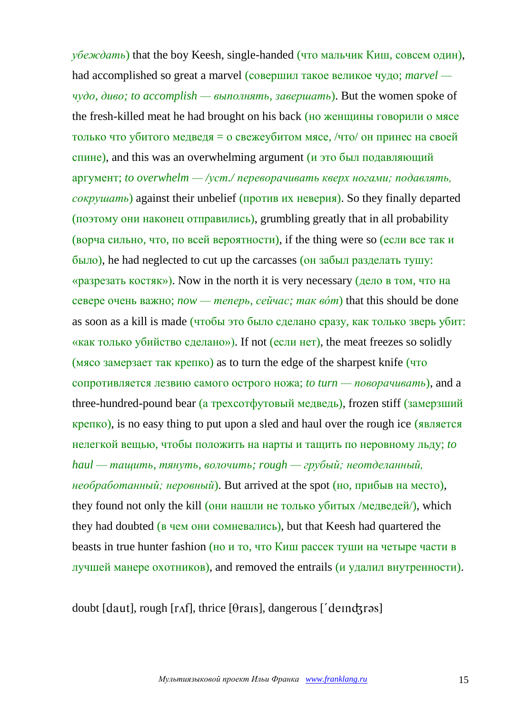*убеждать*) that the boy Keesh, single-handed (что мальчик Киш, совсем один), had accomplished so great a marvel (совершил такое великое чудо; *marvel чудо, диво; to accomplish — выполнять, завершать*). But the women spoke of the fresh-killed meat he had brought on his back (но женщины говорили о мясе только что убитого медведя = о свежеубитом мясе, /что/ он принес на своей спине), and this was an overwhelming argument ( $\mu$  это был подавляющий аргумент; *to overwhelm — /уст./ переворачивать кверх ногами; подавлять, сокрушать*) against their unbelief (против их неверия). So they finally departed (поэтому они наконец отправились), grumbling greatly that in all probability (ворча сильно, что, по всей вероятности), if the thing were so (если все так и было), he had neglected to cut up the carcasses (он забыл разделать тушу: «разрезать костяк»). Now in the north it is very necessary (дело в том, что на севере очень важно; *now — теперь, сейчас; так вóт*) that this should be done as soon as a kill is made (чтобы это было сделано сразу, как только зверь убит: «как только убийство сделано»). If not (если нет), the meat freezes so solidly (мясо замерзает так крепко) as to turn the edge of the sharpest knife (что сопротивляется лезвию самого острого ножа; *to turn — поворачивать*), and a three-hundred-pound bear (а трехсотфутовый медведь), frozen stiff (замерзший крепко), is no easy thing to put upon a sled and haul over the rough ice (является нелегкой вещью, чтобы положить на нарты и тащить по неровному льду; *to haul — тащить, тянуть, волочить; rough — грубый; неотделанный, необработанный; неровный*). But arrived at the spot (но, прибыв на место), they found not only the kill (они нашли не только убитых /медведей/), which they had doubted (в чем они сомневались), but that Keesh had quartered the beasts in true hunter fashion (но и то, что Киш рассек туши на четыре части в лучшей манере охотников), and removed the entrails (и удалил внутренности).

doubt [daut], rough [ $r$ Af], thrice [ $\theta$ rais], dangerous ['deindsras]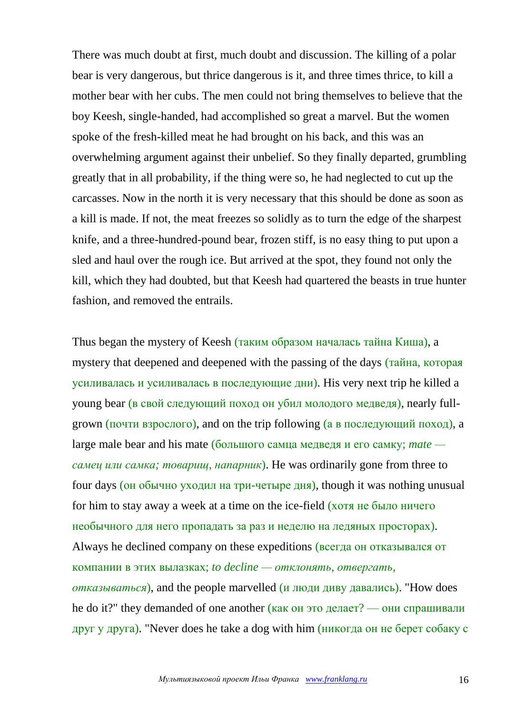There was much doubt at first, much doubt and discussion. The killing of a polar bear is very dangerous, but thrice dangerous is it, and three times thrice, to kill a mother bear with her cubs. The men could not bring themselves to believe that the boy Keesh, single-handed, had accomplished so great a marvel. But the women spoke of the fresh-killed meat he had brought on his back, and this was an overwhelming argument against their unbelief. So they finally departed, grumbling greatly that in all probability, if the thing were so, he had neglected to cut up the carcasses. Now in the north it is very necessary that this should be done as soon as a kill is made. If not, the meat freezes so solidly as to turn the edge of the sharpest knife, and a three-hundred-pound bear, frozen stiff, is no easy thing to put upon a sled and haul over the rough ice. But arrived at the spot, they found not only the kill, which they had doubted, but that Keesh had quartered the beasts in true hunter fashion, and removed the entrails.

Thus began the mystery of Keesh (таким образом началась тайна Киша), a mystery that deepened and deepened with the passing of the days (тайна, которая усиливалась и усиливалась в последующие дни). His very next trip he killed a young bear (в свой следующий поход он убил молодого медведя), nearly fullgrown (почти взрослого), and on the trip following (а в последующий поход), a large male bear and his mate (большого самца медведя и его самку; *mate самец или самка; товарищ, напарник*). He was ordinarily gone from three to four days (он обычно уходил на три-четыре дня), though it was nothing unusual for him to stay away a week at a time on the ice-field (хотя не было ничего необычного для него пропадать за раз и неделю на ледяных просторах). Always he declined company on these expeditions (всегда он отказывался от компании в этих вылазках; *to decline — отклонять, отвергать, отказываться*), and the people marvelled (и люди диву давались). "How does he do it?" they demanded of one another (как он это делает? — они спрашивали друг у друга). "Never does he take a dog with him (никогда он не берет собаку с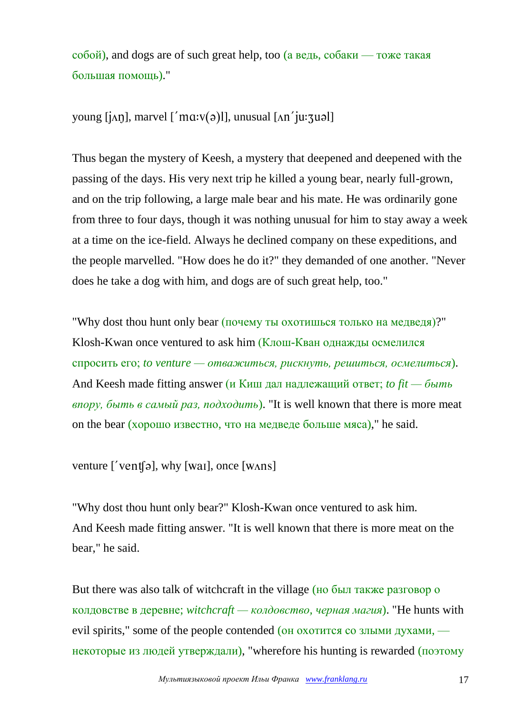$\overline{\text{co}}$ бой), and dogs are of such great help, too (а ведь,  $\overline{\text{co}}$ баки — тоже такая большая помощь)."

young  $[i \land n]$ , marvel  $[i \land n : v(\theta)]$ , unusual  $[\land n' \text{iv:} \text{y} \text{u} \text{u}$ 

Thus began the mystery of Keesh, a mystery that deepened and deepened with the passing of the days. His very next trip he killed a young bear, nearly full-grown, and on the trip following, a large male bear and his mate. He was ordinarily gone from three to four days, though it was nothing unusual for him to stay away a week at a time on the ice-field. Always he declined company on these expeditions, and the people marvelled. "How does he do it?" they demanded of one another. "Never does he take a dog with him, and dogs are of such great help, too."

"Why dost thou hunt only bear (почему ты охотишься только на медведя)?" Klosh-Kwan once ventured to ask him (Клош-Кван однажды осмелился спросить его; *to venture — отважиться, рискнуть, решиться, осмелиться*). And Keesh made fitting answer (и Киш дал надлежащий ответ; *to fit — быть впору, быть в самый раз, подходить*). "It is well known that there is more meat on the bear (хорошо известно, что на медведе больше мяса)," he said.

venture  $\lceil \sqrt{\text{vent}}(a) \rceil$ , why  $\lceil \text{wal} \rceil$ , once  $\lceil \text{Wans} \rceil$ 

"Why dost thou hunt only bear?" Klosh-Kwan once ventured to ask him. And Keesh made fitting answer. "It is well known that there is more meat on the bear," he said.

But there was also talk of witchcraft in the village (но был также разговор о колдовстве в деревне; *witchcraft — колдовство, черная магия*). "He hunts with evil spirits," some of the people contended (он охотится со злыми духами, некоторые из людей утверждали), "wherefore his hunting is rewarded (поэтому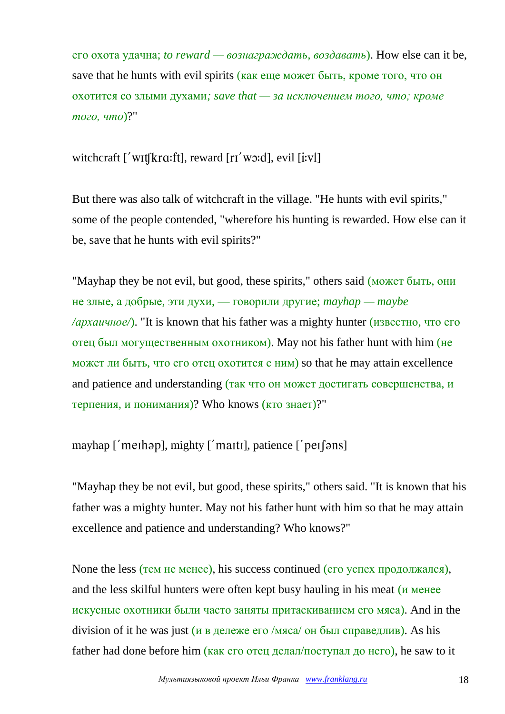его охота удачна; *to reward — вознаграждать, воздавать*). How else can it be, save that he hunts with evil spirits (как еще может быть, кроме того, что он охотится со злыми духами*; save that — за исключением того, что; кроме того, что*)?"

witchcraft  $\ulcorner$  WIt $\lbrack \mathbf{k}$ ra:ft $\urcorner$ , reward  $\lbrack \mathbf{r} \urcorner$  wo:d $\urcorner$ , evil  $\lbrack \mathbf{i}$ :v $\urcorner$ 

But there was also talk of witchcraft in the village. "He hunts with evil spirits," some of the people contended, "wherefore his hunting is rewarded. How else can it be, save that he hunts with evil spirits?"

"Mayhap they be not evil, but good, these spirits," others said (может быть, они не злые, а добрые, эти духи, — говорили другие; *mayhap — maybe /архаичное/*). "It is known that his father was a mighty hunter (известно, что его отец был могущественным охотником). May not his father hunt with him (не может ли быть, что его отец охотится с ним) so that he may attain excellence and patience and understanding (так что он может достигать совершенства, и терпения, и понимания)? Who knows (кто знает)?"

mayhap ['methəp], mighty ['matti], patience ['pet[əns]

"Mayhap they be not evil, but good, these spirits," others said. "It is known that his father was a mighty hunter. May not his father hunt with him so that he may attain excellence and patience and understanding? Who knows?"

None the less (тем не менее), his success continued (его успех продолжался), and the less skilful hunters were often kept busy hauling in his meat (и менее искусные охотники были часто заняты притаскиванием его мяса). And in the division of it he was just (и в дележе его /мяса/ он был справедлив). As his father had done before him (как его отец делал/поступал до него), he saw to it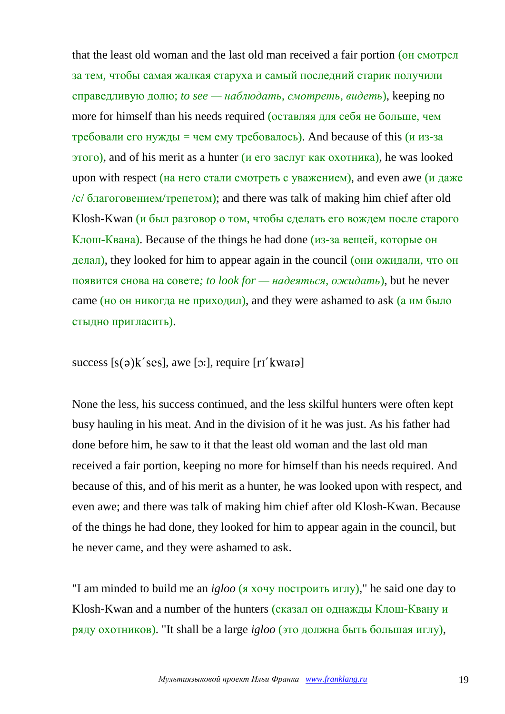that the least old woman and the last old man received a fair portion (он смотрел за тем, чтобы самая жалкая старуха и самый последний старик получили справедливую долю; *to see — наблюдать, смотреть, видеть*), keeping no more for himself than his needs required (оставляя для себя не больше, чем требовали его нужды = чем ему требовалось). And because of this (и из-за этого), and of his merit as a hunter (и его заслуг как охотника), he was looked upon with respect (на него стали смотреть с уважением), and even awe (и даже /с/ благоговением/трепетом); and there was talk of making him chief after old Klosh-Kwan (и был разговор о том, чтобы сделать его вождем после старого Клош-Квана). Because of the things he had done (из-за вещей, которые он делал), they looked for him to appear again in the council (они ожидали, что он появится снова на совете*; to look for — надеяться, ожидать*), but he never  $c$ ате (но он никогда не приходил), and they were ashamed to ask (а им было стыдно пригласить).

## success  $[s(a)k'ses]$ , awe  $[s]$ ; require  $[r'kwai]$

None the less, his success continued, and the less skilful hunters were often kept busy hauling in his meat. And in the division of it he was just. As his father had done before him, he saw to it that the least old woman and the last old man received a fair portion, keeping no more for himself than his needs required. And because of this, and of his merit as a hunter, he was looked upon with respect, and even awe; and there was talk of making him chief after old Klosh-Kwan. Because of the things he had done, they looked for him to appear again in the council, but he never came, and they were ashamed to ask.

"I am minded to build me an *igloo* (я хочу построить иглу)," he said one day to Klosh-Kwan and a number of the hunters (сказал он однажды Клош-Квану и ряду охотников). "It shall be a large *igloo* (это должна быть большая иглу),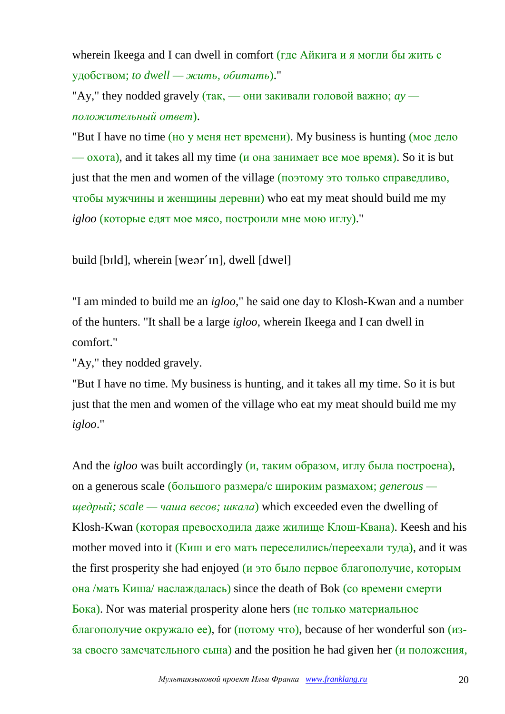wherein Ikeega and I can dwell in comfort (где Айкига и я могли бы жить с удобством; *to dwell — жить, обитать*)."

"Ay," they nodded gravely  $(\text{так}, \text{—})$  они закивали головой важно;  $ay$  *положительный ответ*).

"But I have no time (но у меня нет времени). My business is hunting (мое дело — охота), and it takes all my time (и она занимает все мое время). So it is but just that the men and women of the village (поэтому это только справедливо, чтобы мужчины и женщины деревни) who eat my meat should build me my *igloo* (которые едят мое мясо, построили мне мою иглу)."

build [bild], wherein [weər'in], dwell [dwel]

"I am minded to build me an *igloo*," he said one day to Klosh-Kwan and a number of the hunters. "It shall be a large *igloo*, wherein Ikeega and I can dwell in comfort."

"Ay," they nodded gravely.

"But I have no time. My business is hunting, and it takes all my time. So it is but just that the men and women of the village who eat my meat should build me my *igloo*."

And the *igloo* was built accordingly (и, таким образом, иглу была построена), on a generous scale (большого размера/с широким размахом; *generous щедрый; scale — чаша весов; шкала*) which exceeded even the dwelling of Klosh-Kwan (которая превосходила даже жилище Клош-Квана). Keesh and his mother moved into it (Киш и его мать переселились/переехали туда), and it was the first prosperity she had enjoyed (и это было первое благополучие, которым она /мать Киша/ наслаждалась) since the death of Bok (со времени смерти Бока). Nor was material prosperity alone hers (не только материальное благополучие окружало ее), for (потому что), because of her wonderful son (изза своего замечательного сына) and the position he had given her (и положения,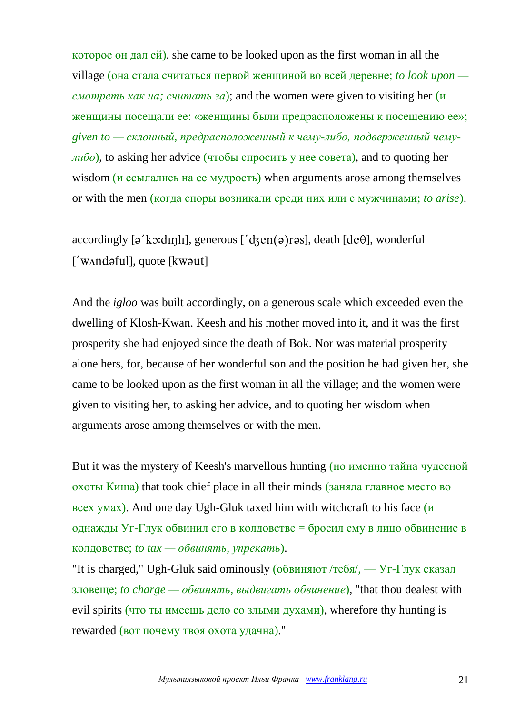которое он дал ей), she came to be looked upon as the first woman in all the village (она стала считаться первой женщиной во всей деревне; *to look upon смотреть как на; считать за*); and the women were given to visiting her (и женщины посещали ее: «женщины были предрасположены к посещению ее»; *given to — склонный, предрасположенный к чему-либо, подверженный чемулибо*), to asking her advice (чтобы спросить у нее совета), and to quoting her wisdom (*и ссылались* на ее мудрость) when arguments arose among themselves or with the men (когда споры возникали среди них или с мужчинами; *to arise*).

accordingly  $\lceil 2 \times \text{c} \cdot d \rceil$ , generous  $\lceil 2 \times \text{c} \cdot d \rceil$ , death  $\lceil 2 \cdot \text{d} \cdot e \cdot d \rceil$ , wonderful  $\lceil$ ' w $\land$ ndəful $\lceil$ , quote  $\lceil$  kwəut $\lceil$ 

And the *igloo* was built accordingly, on a generous scale which exceeded even the dwelling of Klosh-Kwan. Keesh and his mother moved into it, and it was the first prosperity she had enjoyed since the death of Bok. Nor was material prosperity alone hers, for, because of her wonderful son and the position he had given her, she came to be looked upon as the first woman in all the village; and the women were given to visiting her, to asking her advice, and to quoting her wisdom when arguments arose among themselves or with the men.

But it was the mystery of Keesh's marvellous hunting (но именно тайна чудесной охоты Киша) that took chief place in all their minds (заняла главное место во всех умах). And one day Ugh-Gluk taxed him with witchcraft to his face (и однажды Уг-Глук обвинил его в колдовстве = бросил ему в лицо обвинение в колдовстве; *to tax — обвинять, упрекать*).

"It is charged," Ugh-Gluk said ominously (обвиняют /тебя/, — Уг-Глук сказал зловеще; *to charge — обвинять, выдвигать обвинение*), "that thou dealest with evil spirits (что ты имеешь дело со злыми духами), wherefore thy hunting is rewarded (вот почему твоя охота удачна)."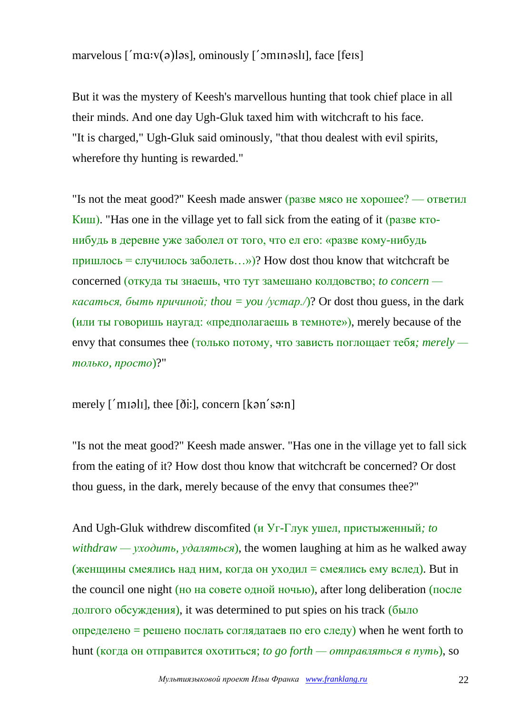# marvelous  $\lceil \text{'}max(\vartheta) \rceil$ , ominously  $\lceil \text{'}sumn \rceil$ , face  $\lceil \text{fens} \rceil$

But it was the mystery of Keesh's marvellous hunting that took chief place in all their minds. And one day Ugh-Gluk taxed him with witchcraft to his face. "It is charged," Ugh-Gluk said ominously, "that thou dealest with evil spirits, wherefore thy hunting is rewarded."

"Is not the meat good?" Keesh made answer (разве мясо не хорошее? — ответил Киш). "Has one in the village yet to fall sick from the eating of it (разве ктонибудь в деревне уже заболел от того, что ел его: «разве кому-нибудь пришлось = случилось заболеть…»)? How dost thou know that witchcraft be concerned (откуда ты знаешь, что тут замешано колдовство; *to concern касаться, быть причиной; thou* = *you* /*ycmap.*/ $)$ ? Or dost thou guess, in the dark (или ты говоришь наугад: «предполагаешь в темноте»), merely because of the envy that consumes thee (только потому, что зависть поглощает тебя*; merely только, просто*)?"

### merely  $\lceil \n{'}m\nu \rceil$ , thee  $\lceil \delta i \rceil$ , concern  $\lceil \n{k \rceil} \rceil$

"Is not the meat good?" Keesh made answer. "Has one in the village yet to fall sick from the eating of it? How dost thou know that witchcraft be concerned? Or dost thou guess, in the dark, merely because of the envy that consumes thee?"

And Ugh-Gluk withdrew discomfited (и Уг-Глук ушел, пристыженный*; to withdraw — уходить, удаляться*), the women laughing at him as he walked away (женщины смеялись над ним, когда он уходил = смеялись ему вслед). But in the council one night (но на совете одной ночью), after long deliberation (после долгого обсуждения), it was determined to put spies on his track (было определено = решено послать соглядатаев по его следу) when he went forth to hunt (когда он отправится охотиться; *to go forth — отправляться в путь*), so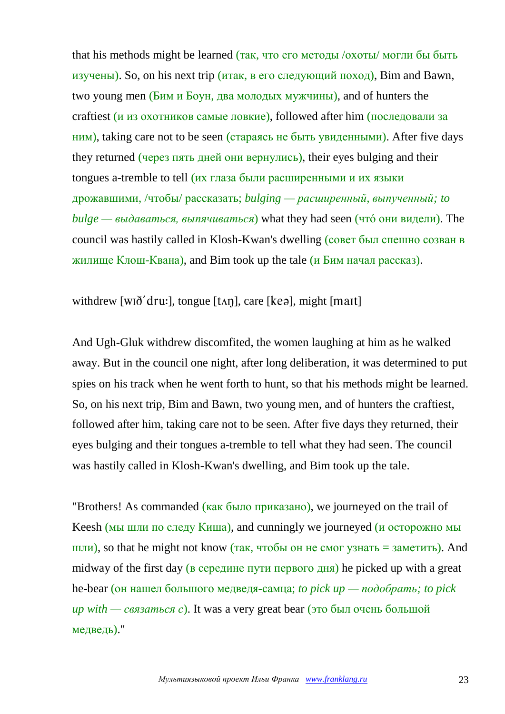that his methods might be learned (так, что его методы /охоты/ могли бы быть изучены). So, on his next trip (итак, в его следующий поход), Bim and Bawn, two young men (Бим и Боун, два молодых мужчины), and of hunters the craftiest (и из охотников самые ловкие), followed after him (последовали за ним), taking care not to be seen (стараясь не быть увиденными). After five days they returned (через пять дней они вернулись), their eyes bulging and their tongues a-tremble to tell (их глаза были расширенными и их языки дрожавшими, /чтобы/ рассказать; *bulging — расширенный, выпученный; to bulge — выдаваться, выпячиваться*) what they had seen (чтó они видели). The council was hastily called in Klosh-Kwan's dwelling (совет был спешно созван в жилище Клош-Квана), and Bim took up the tale (и Бим начал рассказ).

withdrew [wi $\delta$ ' $d$ ru:], tongue [ $tan$ ], care [ $ke$  $\delta$ ], might [mait]

And Ugh-Gluk withdrew discomfited, the women laughing at him as he walked away. But in the council one night, after long deliberation, it was determined to put spies on his track when he went forth to hunt, so that his methods might be learned. So, on his next trip, Bim and Bawn, two young men, and of hunters the craftiest, followed after him, taking care not to be seen. After five days they returned, their eyes bulging and their tongues a-tremble to tell what they had seen. The council was hastily called in Klosh-Kwan's dwelling, and Bim took up the tale.

"Brothers! As commanded (как было приказано), we journeyed on the trail of Keesh (мы шли по следу Киша), and cunningly we journeyed (и осторожно мы шли), so that he might not know (так, чтобы он не смог узнать = заметить). And midway of the first day (в середине пути первого дня) he picked up with a great he-bear (он нашел большого медведя-самца; *to pick up — подобрать; to pick up with — связаться с*). It was a very great bear (это был очень большой медведь)."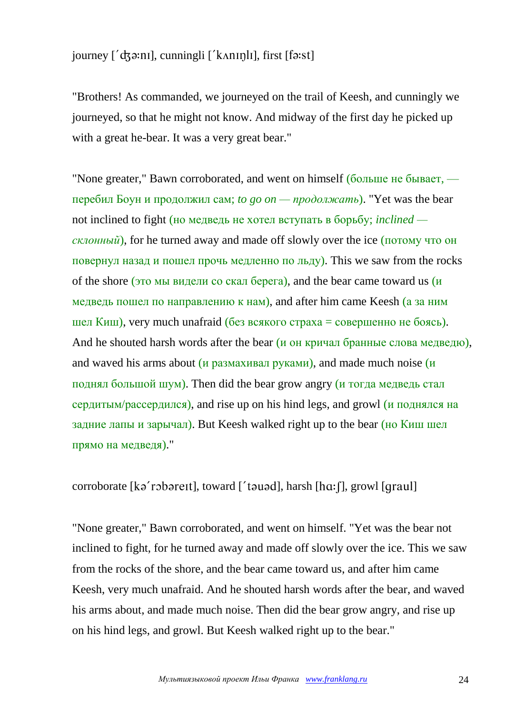# journey  $\int' d\vec{x}$ :ni, cunningli  $\int'$ k $\Lambda$ ningli, first  $\delta$ :st]

"Brothers! As commanded, we journeyed on the trail of Keesh, and cunningly we journeyed, so that he might not know. And midway of the first day he picked up with a great he-bear. It was a very great bear."

"None greater," Bawn corroborated, and went on himself (больше не бывает, перебил Боун и продолжил сам; *to go on — продолжать*). "Yet was the bear not inclined to fight (но медведь не хотел вступать в борьбу; *inclined склонный*), for he turned away and made off slowly over the ice (потому что он повернул назад и пошел прочь медленно по льду). This we saw from the rocks of the shore (это мы видели со скал берега), and the bear came toward us (и медведь пошел по направлению к нам), and after him came Keesh (а за ним шел Киш), very much unafraid (без всякого страха = совершенно не боясь). And he shouted harsh words after the bear (и он кричал бранные слова медведю), and waved his arms about  $(\mu$  размахивал руками), and made much noise  $(\mu)$ поднял большой шум). Then did the bear grow angry (и тогда медведь стал сердитым/рассердился), and rise up on his hind legs, and growl (и поднялся на задние лапы и зарычал). But Keesh walked right up to the bear (но Киш шел прямо на медведя)."

#### corroborate  $[kq$  robareit], toward  $[i$  tauad], harsh  $[ha;[]$ , growl  $[qraul]$

"None greater," Bawn corroborated, and went on himself. "Yet was the bear not inclined to fight, for he turned away and made off slowly over the ice. This we saw from the rocks of the shore, and the bear came toward us, and after him came Keesh, very much unafraid. And he shouted harsh words after the bear, and waved his arms about, and made much noise. Then did the bear grow angry, and rise up on his hind legs, and growl. But Keesh walked right up to the bear."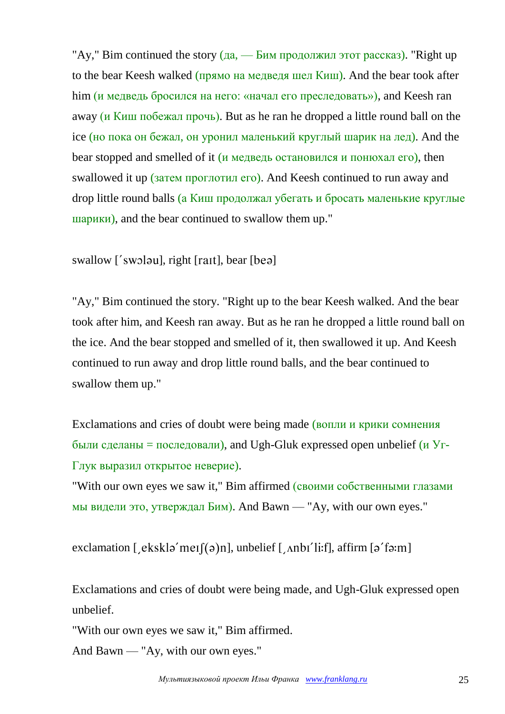"Ay," Bim continued the story  $(a_4 - b_4)$  продолжил этот рассказ). "Right up to the bear Keesh walked (прямо на медведя шел Киш). And the bear took after him (и медведь бросился на него: «начал его преследовать»), and Keesh ran away (и Киш побежал прочь). But as he ran he dropped a little round ball on the ice (но пока он бежал, он уронил маленький круглый шарик на лед). And the bear stopped and smelled of it (и медведь остановился и понюхал его), then swallowed it up (затем проглотил его). And Keesh continued to run away and drop little round balls (а Киш продолжал убегать и бросать маленькие круглые шарики), and the bear continued to swallow them up."

swallow ['swoləu], right [raɪt], bear [beə]

"Ay," Bim continued the story. "Right up to the bear Keesh walked. And the bear took after him, and Keesh ran away. But as he ran he dropped a little round ball on the ice. And the bear stopped and smelled of it, then swallowed it up. And Keesh continued to run away and drop little round balls, and the bear continued to swallow them up."

Exclamations and cries of doubt were being made (вопли и крики сомнения были сделаны = последовали), and Ugh-Gluk expressed open unbelief (и Уг-Глук выразил открытое неверие).

"With our own eyes we saw it," Bim affirmed (своими собственными глазами мы видели это, утверждал Бим). And Bawn — "Ay, with our own eyes."

exclamation [  $\epsilon$ ksklə' meɪ $[(\theta)$ n], unbelief [  $\Delta$ nbɪ' li:f], affirm [ə' fə:m]

Exclamations and cries of doubt were being made, and Ugh-Gluk expressed open unbelief.

"With our own eyes we saw it," Bim affirmed.

And Bawn — "Ay, with our own eyes."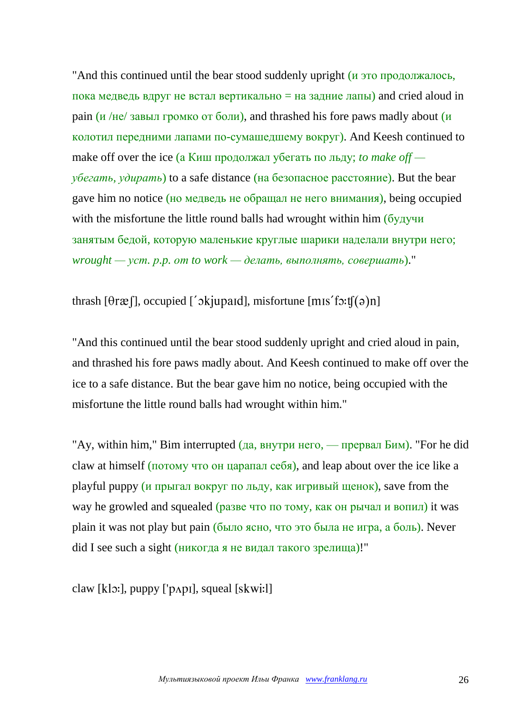"And this continued until the bear stood suddenly upright (и это продолжалось, пока медведь вдруг не встал вертикально = на задние лапы) and cried aloud in pain ( $\mu$ /не/ завыл громко от боли), and thrashed his fore paws madly about ( $\mu$ ) колотил передними лапами по-сумашедшему вокруг). And Keesh continued to make off over the ice (а Киш продолжал убегать по льду; *to make off убегать, удирать*) to a safe distance (на безопасное расстояние). But the bear gave him no notice (но медведь не обращал не него внимания), being occupied with the misfortune the little round balls had wrought within him (будучи занятым бедой, которую маленькие круглые шарики наделали внутри него; *wrought — уст. р.p. от to work — делать, выполнять, совершать*)."

thrash  $[0r\mathcal{R}]$ , occupied [' $\delta$ kjupaid], misfortune  $[m]$ is f $\delta$ :t $[(\delta)$ n]

"And this continued until the bear stood suddenly upright and cried aloud in pain, and thrashed his fore paws madly about. And Keesh continued to make off over the ice to a safe distance. But the bear gave him no notice, being occupied with the misfortune the little round balls had wrought within him."

"Ay, within him," Bim interrupted  $\alpha$ , внутри него, — прервал Бим). "For he did claw at himself (потому что он царапал себя), and leap about over the ice like a playful puppy (и прыгал вокруг по льду, как игривый щенок), save from the way he growled and squealed (разве что по тому, как он рычал и вопил) it was plain it was not play but pain (было ясно, что это была не игра, а боль). Never did I see such a sight (никогда я не видал такого зрелища)!"

claw  $[k]$ : puppy  $[\gamma \rho]$ , squeal  $[skwi!]$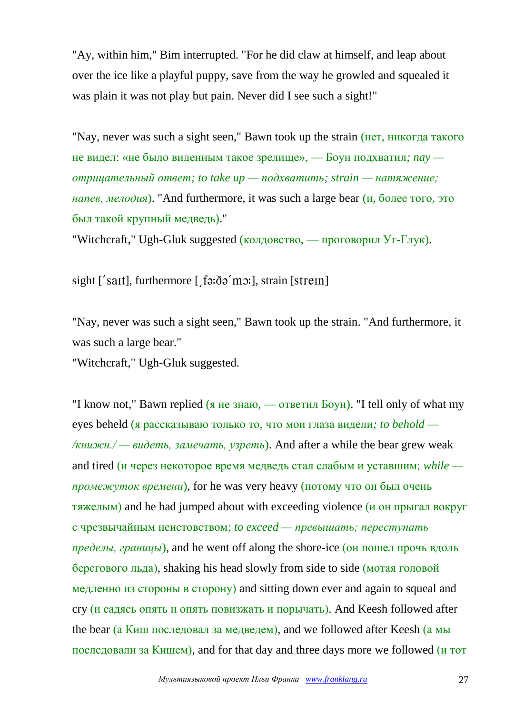"Ay, within him," Bim interrupted. "For he did claw at himself, and leap about over the ice like a playful puppy, save from the way he growled and squealed it was plain it was not play but pain. Never did I see such a sight!"

"Nay, never was such a sight seen," Bawn took up the strain (нет, никогда такого не видел: «не было виденным такое зрелище», — Боун подхватил*; nay отрицательный ответ; to take up — подхватить; strain — натяжение; напев, мелодия*). "And furthermore, it was such a large bear (и, более того, это был такой крупный медведь)."

"Witchcraft," Ugh-Gluk suggested (колдовство, — проговорил Уг-Глук).

sight ['sait], furthermore [, fa:da'mo:], strain [strein]

"Nay, never was such a sight seen," Bawn took up the strain. "And furthermore, it was such a large bear."

"Witchcraft," Ugh-Gluk suggested.

"I know not," Bawn replied (я не знаю, — ответил Боун). "I tell only of what my eyes beheld (я рассказываю только то, что мои глаза видели*; to behold — /книжн./ — видеть, замечать, узреть*). And after a while the bear grew weak and tired (и через некоторое время медведь стал слабым и уставшим; *while промежуток времени*), for he was very heavy (потому что он был очень тяжелым) and he had jumped about with exceeding violence (и он прыгал вокруг с чрезвычайным неистовством; *to exceed — превышать; переступать пределы, границы*), and he went off along the shore-ice (он пошел прочь вдоль берегового льда), shaking his head slowly from side to side (мотая головой медленно из стороны в сторону) and sitting down ever and again to squeal and cry (и садясь опять и опять повизжать и порычать). And Keesh followed after the bear (а Киш последовал за медведем), and we followed after Keesh (а мы последовали за Кишем), and for that day and three days more we followed (и тот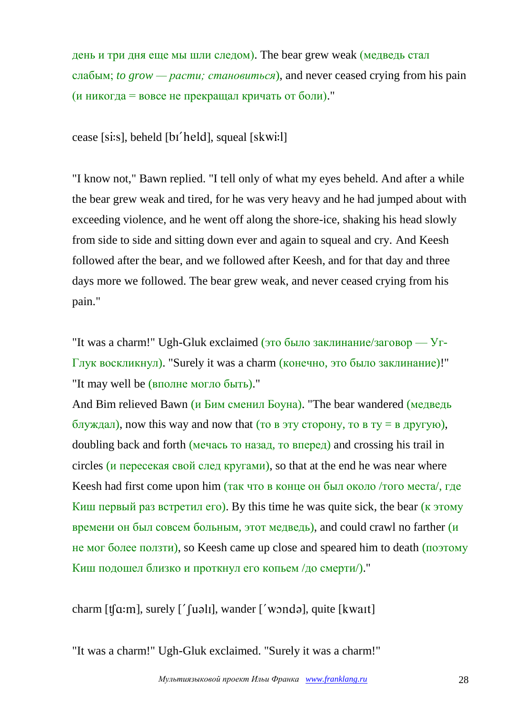день и три дня еще мы шли следом). The bear grew weak (медведь стал слабым; *to grow — расти; становиться*), and never ceased crying from his pain (и никогда = вовсе не прекращал кричать от боли)."

cease [si:s], beheld [bɪ'held], squeal [skwi:l]

"I know not," Bawn replied. "I tell only of what my eyes beheld. And after a while the bear grew weak and tired, for he was very heavy and he had jumped about with exceeding violence, and he went off along the shore-ice, shaking his head slowly from side to side and sitting down ever and again to squeal and cry. And Keesh followed after the bear, and we followed after Keesh, and for that day and three days more we followed. The bear grew weak, and never ceased crying from his pain."

"It was a charm!" Ugh-Gluk exclaimed (это было заклинание/заговор — Уг-Глук воскликнул). "Surely it was a charm (конечно, это было заклинание)!" "It may well be (вполне могло быть)."

And Bim relieved Bawn (и Бим сменил Боуна). "The bear wandered (медведь блуждал), now this way and now that (то в эту сторону, то в ту = в другую), doubling back and forth (мечась то назад, то вперед) and crossing his trail in circles (и пересекая свой след кругами), so that at the end he was near where Keesh had first come upon him (так что в конце он был около /того места/, где Киш первый раз встретил его). By this time he was quite sick, the bear  $(\kappa 3TOMV)$ времени он был совсем больным, этот медведь), and could crawl no farther  $(u)$ не мог более ползти), so Keesh came up close and speared him to death (поэтому Киш подошел близко и проткнул его копьем /до смерти/)."

charm  $[t[\alpha: m]$ , surely  $[$ '  $[u\alpha: b]$ , wander  $[$ ' wond $\alpha$ ], quite  $[kwaIt]$ 

"It was a charm!" Ugh-Gluk exclaimed. "Surely it was a charm!"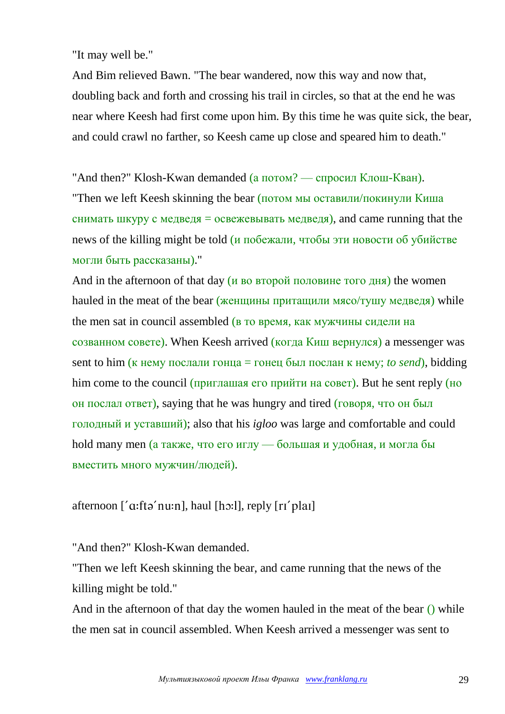"It may well be."

And Bim relieved Bawn. "The bear wandered, now this way and now that, doubling back and forth and crossing his trail in circles, so that at the end he was near where Keesh had first come upon him. By this time he was quite sick, the bear, and could crawl no farther, so Keesh came up close and speared him to death."

"And then?" Klosh-Kwan demanded (а потом? — спросил Клош-Кван).

"Then we left Keesh skinning the bear (потом мы оставили/покинули Киша снимать шкуру с медведя = освежевывать медведя), and came running that the news of the killing might be told  $\mu$  побежали, чтобы эти новости об убийстве могли быть рассказаны)."

And in the afternoon of that day  $(u$  во второй половине того дня) the women hauled in the meat of the bear (женщины притащили мясо/тушу медведя) while the men sat in council assembled (в то время, как мужчины сидели на созванном совете). When Keesh arrived (когда Киш вернулся) a messenger was sent to him ( $\kappa$  нему послали гонца = гонец был послан  $\kappa$  нему; *to send*), bidding him come to the council (приглашая его прийти на совет). But he sent reply (но он послал ответ), saying that he was hungry and tired (говоря, что он был голодный и уставший); also that his *igloo* was large and comfortable and could hold many men (а также, что его иглу — большая и удобная, и могла бы вместить много мужчин/людей).

afternoon  $[a$ : ftə' nu: n], haul [hɔ: l], reply  $[ri'$  plai]

"And then?" Klosh-Kwan demanded.

"Then we left Keesh skinning the bear, and came running that the news of the killing might be told."

And in the afternoon of that day the women hauled in the meat of the bear () while the men sat in council assembled. When Keesh arrived a messenger was sent to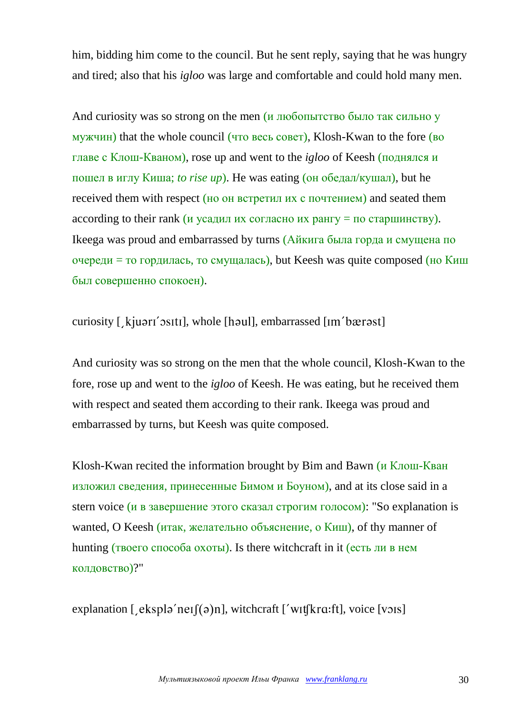him, bidding him come to the council. But he sent reply, saying that he was hungry and tired; also that his *igloo* was large and comfortable and could hold many men.

And curiosity was so strong on the men (*и* любопытство было так сильно у мужчин) that the whole council (что весь совет), Klosh-Kwan to the fore (во главе с Клош-Кваном), rose up and went to the *igloo* of Keesh (поднялся и пошел в иглу Киша; *to rise up*). He was eating (он обедал/кушал), but he received them with respect (но он встретил их с почтением) and seated them according to their rank (*и* усадил их согласно их рангу = по старшинству). Ikeega was proud and embarrassed by turns (Айкига была горда и смущена по  $\alpha$ очереди = то гордилась, то смущалась), but Keesh was quite composed (но Киш был совершенно спокоен).

curiosity [, kjuari'ositi], whole [haul], embarrassed [Im'bærast]

And curiosity was so strong on the men that the whole council, Klosh-Kwan to the fore, rose up and went to the *igloo* of Keesh. He was eating, but he received them with respect and seated them according to their rank. Ikeega was proud and embarrassed by turns, but Keesh was quite composed.

Klosh-Kwan recited the information brought by Bim and Bawn (и Клош-Кван изложил сведения, принесенные Бимом и Боуном), and at its close said in a stern voice (и в завершение этого сказал строгим голосом): "So explanation is wanted, O Keesh (итак, желательно объяснение, о Киш), of thy manner of hunting (твоего способа охоты). Is there witchcraft in it (есть ли в нем колдовство)?"

explanation [  $\epsilon$ ksplə'neɪ $[(\theta)$ n], witchcraft ['wɪtʃkrɑ:ft], voice [vɔɪs]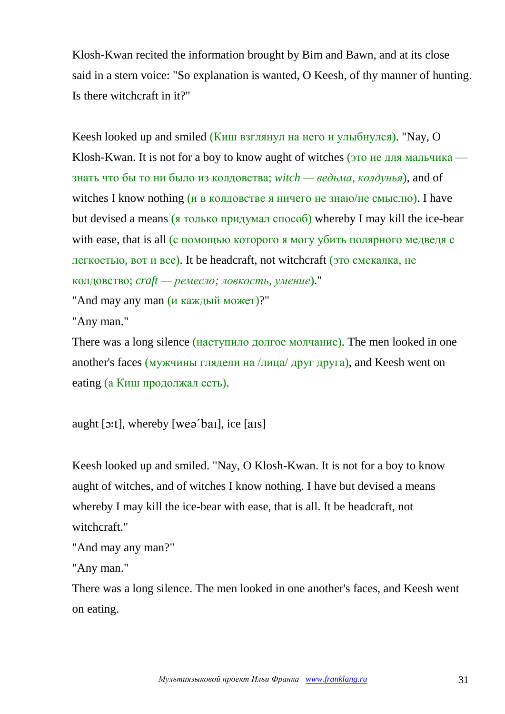Klosh-Kwan recited the information brought by Bim and Bawn, and at its close said in a stern voice: "So explanation is wanted, O Keesh, of thy manner of hunting. Is there witchcraft in it?"

Keesh looked up and smiled (Киш взглянул на него и улыбнулся). "Nay, O Klosh-Kwan. It is not for a boy to know aught of witches (это не для мальчика знать что бы то ни было из колдовства; *witch — ведьма, колдунья*), and of witches I know nothing (и в колдовстве я ничего не знаю/не смыслю). I have but devised a means (я только придумал способ) whereby I may kill the ice-bear with ease, that is all (с помощью которого я могу убить полярного медведя с легкостью, вот и все). It be headcraft, not witchcraft (это смекалка, не колдовство; *craft — ремесло; ловкость, умение*)."

"And may any man (и каждый может)?"

"Any man."

There was a long silence (наступило долгое молчание). The men looked in one another's faces (мужчины глядели на /лица/ друг друга), and Keesh went on eating (а Киш продолжал есть).

aught  $[x:1]$ , whereby [weə'bai], ice [ais]

Keesh looked up and smiled. "Nay, O Klosh-Kwan. It is not for a boy to know aught of witches, and of witches I know nothing. I have but devised a means whereby I may kill the ice-bear with ease, that is all. It be headcraft, not witchcraft."

```
"And may any man?"
```
"Any man."

There was a long silence. The men looked in one another's faces, and Keesh went on eating.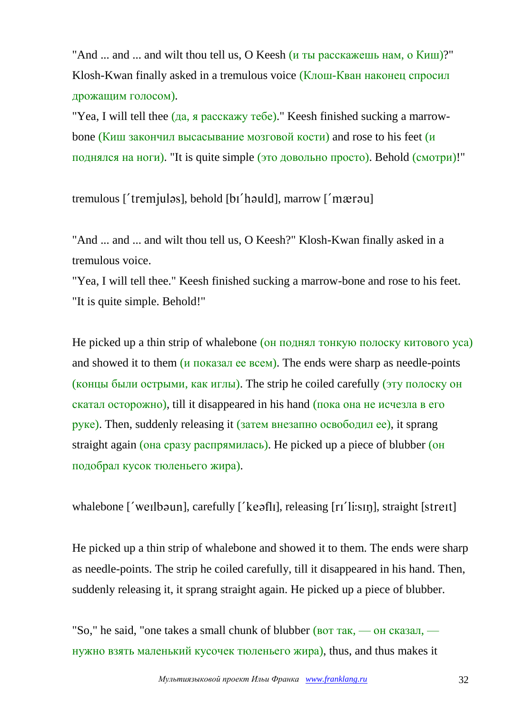"And ... and ... and wilt thou tell us, O Keesh (и ты расскажешь нам, о Киш)?" Klosh-Kwan finally asked in a tremulous voice (Клош-Кван наконец спросил дрожащим голосом).

"Yea, I will tell thee (да, я расскажу тебе)." Keesh finished sucking a marrowbone (Киш закончил высасывание мозговой кости) and rose to his feet (и поднялся на ноги). "It is quite simple (это довольно просто). Behold (смотри)!"

tremulous ['tremjulas], behold [bɪ'hauld], marrow ['mærau]

"And ... and ... and wilt thou tell us, O Keesh?" Klosh-Kwan finally asked in a tremulous voice.

"Yea, I will tell thee." Keesh finished sucking a marrow-bone and rose to his feet. "It is quite simple. Behold!"

He picked up a thin strip of whalebone (он поднял тонкую полоску китового уса) and showed it to them (и показал ее всем). The ends were sharp as needle-points (концы были острыми, как иглы). The strip he coiled carefully (эту полоску он скатал осторожно), till it disappeared in his hand (пока она не исчезла в его руке). Then, suddenly releasing it (затем внезапно освободил ее), it sprang straight again (она сразу распрямилась). He picked up a piece of blubber (он подобрал кусок тюленьего жира).

whalebone ['weilbaun], carefully ['keafli], releasing [ri'li:sin], straight [streit]

He picked up a thin strip of whalebone and showed it to them. The ends were sharp as needle-points. The strip he coiled carefully, till it disappeared in his hand. Then, suddenly releasing it, it sprang straight again. He picked up a piece of blubber.

"So," he said, "one takes a small chunk of blubber (вот так, — он сказал, нужно взять маленький кусочек тюленьего жира), thus, and thus makes it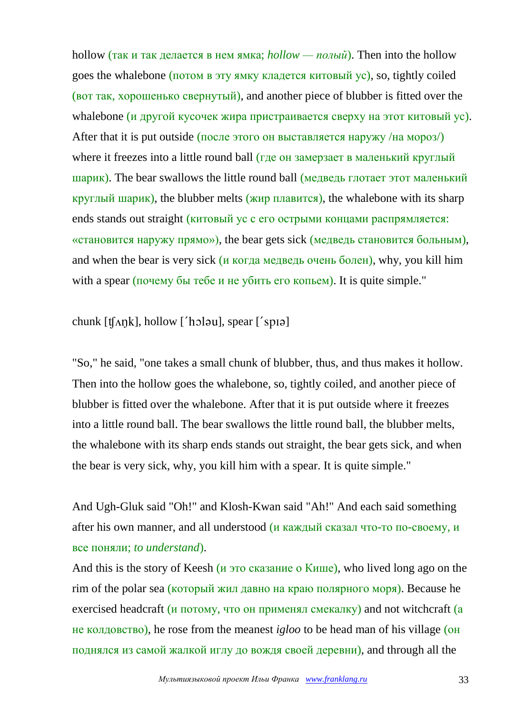hollow (так и так делается в нем ямка; *hollow — полый*). Then into the hollow goes the whalebone (потом в эту ямку кладется китовый ус), so, tightly coiled (вот так, хорошенько свернутый), and another piece of blubber is fitted over the whalebone (и другой кусочек жира пристраивается сверху на этот китовый ус). After that it is put outside (после этого он выставляется наружу /на мороз/) where it freezes into a little round ball (где он замерзает в маленький круглый шарик). The bear swallows the little round ball (медведь глотает этот маленький круглый шарик), the blubber melts (жир плавится), the whalebone with its sharp ends stands out straight (китовый ус с его острыми концами распрямляется: «становится наружу прямо»), the bear gets sick (медведь становится больным), and when the bear is very sick (и когда медведь очень болен), why, you kill him with a spear (почему бы тебе и не убить его копьем). It is quite simple."

chunk  $[t\Lambda\eta k]$ , hollow  $[$ ' holau], spear  $[$ ' sp $]$ 

"So," he said, "one takes a small chunk of blubber, thus, and thus makes it hollow. Then into the hollow goes the whalebone, so, tightly coiled, and another piece of blubber is fitted over the whalebone. After that it is put outside where it freezes into a little round ball. The bear swallows the little round ball, the blubber melts, the whalebone with its sharp ends stands out straight, the bear gets sick, and when the bear is very sick, why, you kill him with a spear. It is quite simple."

And Ugh-Gluk said "Oh!" and Klosh-Kwan said "Ah!" And each said something after his own manner, and all understood (и каждый сказал что-то по-своему, и все поняли; *to understand*).

And this is the story of Keesh (и это сказание о Кише), who lived long ago on the rim of the polar sea (который жил давно на краю полярного моря). Because he exercised headcraft (*и* потому, что он применял смекалку) and not witchcraft (a не колдовство), he rose from the meanest *igloo* to be head man of his village (он поднялся из самой жалкой иглу до вождя своей деревни), and through all the